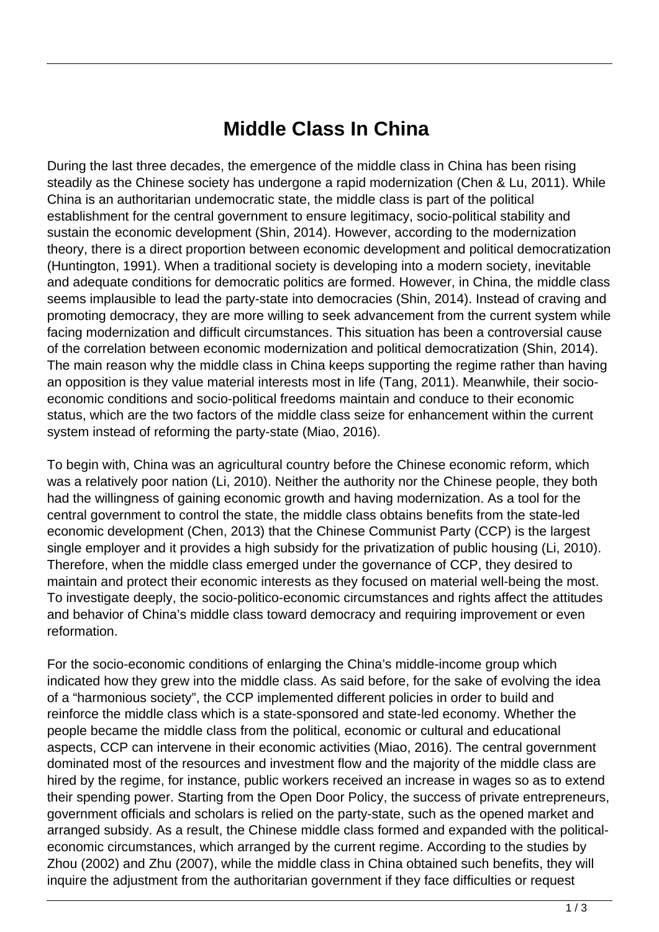## **Middle Class In China**

During the last three decades, the emergence of the middle class in China has been rising steadily as the Chinese society has undergone a rapid modernization (Chen & Lu, 2011). While China is an authoritarian undemocratic state, the middle class is part of the political establishment for the central government to ensure legitimacy, socio-political stability and sustain the economic development (Shin, 2014). However, according to the modernization theory, there is a direct proportion between economic development and political democratization (Huntington, 1991). When a traditional society is developing into a modern society, inevitable and adequate conditions for democratic politics are formed. However, in China, the middle class seems implausible to lead the party-state into democracies (Shin, 2014). Instead of craving and promoting democracy, they are more willing to seek advancement from the current system while facing modernization and difficult circumstances. This situation has been a controversial cause of the correlation between economic modernization and political democratization (Shin, 2014). The main reason why the middle class in China keeps supporting the regime rather than having an opposition is they value material interests most in life (Tang, 2011). Meanwhile, their socioeconomic conditions and socio-political freedoms maintain and conduce to their economic status, which are the two factors of the middle class seize for enhancement within the current system instead of reforming the party-state (Miao, 2016).

To begin with, China was an agricultural country before the Chinese economic reform, which was a relatively poor nation (Li, 2010). Neither the authority nor the Chinese people, they both had the willingness of gaining economic growth and having modernization. As a tool for the central government to control the state, the middle class obtains benefits from the state-led economic development (Chen, 2013) that the Chinese Communist Party (CCP) is the largest single employer and it provides a high subsidy for the privatization of public housing (Li, 2010). Therefore, when the middle class emerged under the governance of CCP, they desired to maintain and protect their economic interests as they focused on material well-being the most. To investigate deeply, the socio-politico-economic circumstances and rights affect the attitudes and behavior of China's middle class toward democracy and requiring improvement or even reformation.

For the socio-economic conditions of enlarging the China's middle-income group which indicated how they grew into the middle class. As said before, for the sake of evolving the idea of a "harmonious society", the CCP implemented different policies in order to build and reinforce the middle class which is a state-sponsored and state-led economy. Whether the people became the middle class from the political, economic or cultural and educational aspects, CCP can intervene in their economic activities (Miao, 2016). The central government dominated most of the resources and investment flow and the majority of the middle class are hired by the regime, for instance, public workers received an increase in wages so as to extend their spending power. Starting from the Open Door Policy, the success of private entrepreneurs, government officials and scholars is relied on the party-state, such as the opened market and arranged subsidy. As a result, the Chinese middle class formed and expanded with the politicaleconomic circumstances, which arranged by the current regime. According to the studies by Zhou (2002) and Zhu (2007), while the middle class in China obtained such benefits, they will inquire the adjustment from the authoritarian government if they face difficulties or request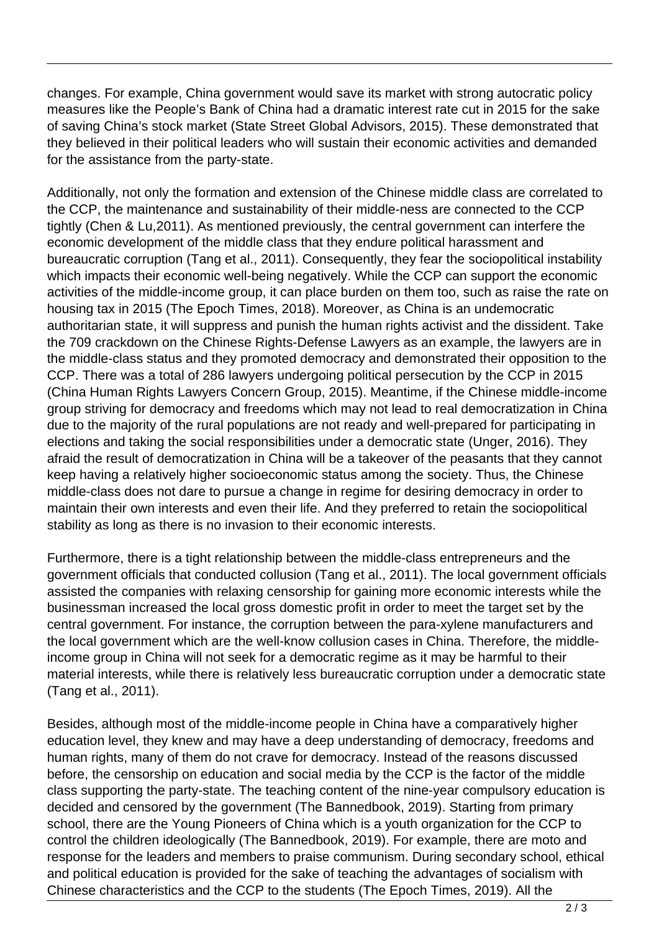changes. For example, China government would save its market with strong autocratic policy measures like the People's Bank of China had a dramatic interest rate cut in 2015 for the sake of saving China's stock market (State Street Global Advisors, 2015). These demonstrated that they believed in their political leaders who will sustain their economic activities and demanded for the assistance from the party-state.

Additionally, not only the formation and extension of the Chinese middle class are correlated to the CCP, the maintenance and sustainability of their middle-ness are connected to the CCP tightly (Chen & Lu,2011). As mentioned previously, the central government can interfere the economic development of the middle class that they endure political harassment and bureaucratic corruption (Tang et al., 2011). Consequently, they fear the sociopolitical instability which impacts their economic well-being negatively. While the CCP can support the economic activities of the middle-income group, it can place burden on them too, such as raise the rate on housing tax in 2015 (The Epoch Times, 2018). Moreover, as China is an undemocratic authoritarian state, it will suppress and punish the human rights activist and the dissident. Take the 709 crackdown on the Chinese Rights-Defense Lawyers as an example, the lawyers are in the middle-class status and they promoted democracy and demonstrated their opposition to the CCP. There was a total of 286 lawyers undergoing political persecution by the CCP in 2015 (China Human Rights Lawyers Concern Group, 2015). Meantime, if the Chinese middle-income group striving for democracy and freedoms which may not lead to real democratization in China due to the majority of the rural populations are not ready and well-prepared for participating in elections and taking the social responsibilities under a democratic state (Unger, 2016). They afraid the result of democratization in China will be a takeover of the peasants that they cannot keep having a relatively higher socioeconomic status among the society. Thus, the Chinese middle-class does not dare to pursue a change in regime for desiring democracy in order to maintain their own interests and even their life. And they preferred to retain the sociopolitical stability as long as there is no invasion to their economic interests.

Furthermore, there is a tight relationship between the middle-class entrepreneurs and the government officials that conducted collusion (Tang et al., 2011). The local government officials assisted the companies with relaxing censorship for gaining more economic interests while the businessman increased the local gross domestic profit in order to meet the target set by the central government. For instance, the corruption between the para-xylene manufacturers and the local government which are the well-know collusion cases in China. Therefore, the middleincome group in China will not seek for a democratic regime as it may be harmful to their material interests, while there is relatively less bureaucratic corruption under a democratic state (Tang et al., 2011).

Besides, although most of the middle-income people in China have a comparatively higher education level, they knew and may have a deep understanding of democracy, freedoms and human rights, many of them do not crave for democracy. Instead of the reasons discussed before, the censorship on education and social media by the CCP is the factor of the middle class supporting the party-state. The teaching content of the nine-year compulsory education is decided and censored by the government (The Bannedbook, 2019). Starting from primary school, there are the Young Pioneers of China which is a youth organization for the CCP to control the children ideologically (The Bannedbook, 2019). For example, there are moto and response for the leaders and members to praise communism. During secondary school, ethical and political education is provided for the sake of teaching the advantages of socialism with Chinese characteristics and the CCP to the students (The Epoch Times, 2019). All the